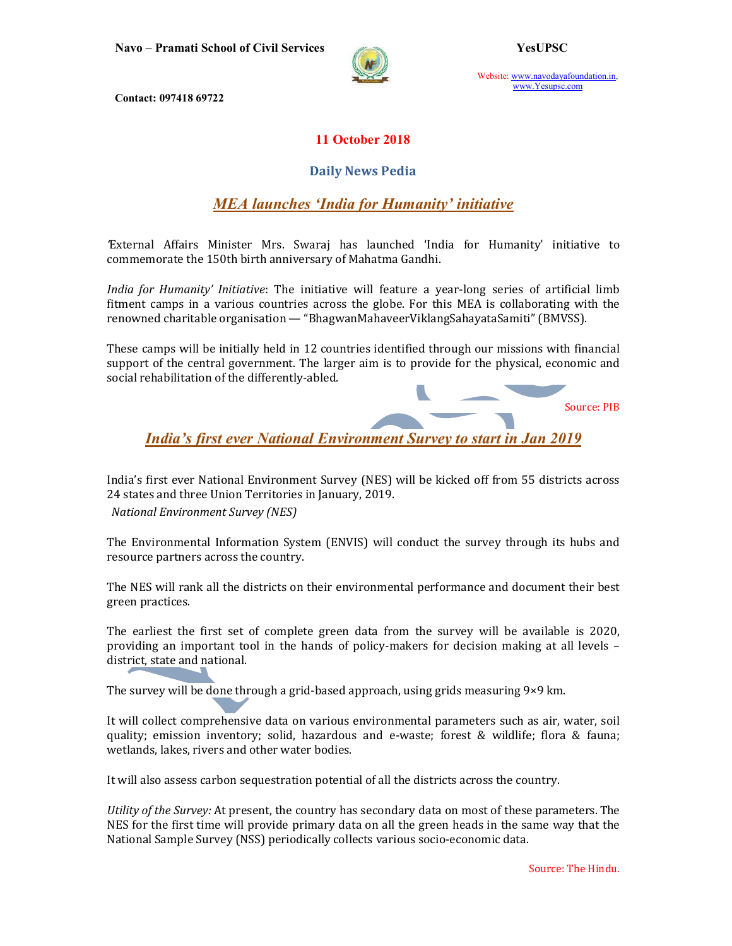

Website: www.navodayafoundation.in, www.Yesupsc.com

Contact: 097418 69722

### 11 October 2018

### Daily News Pedia

# MEA launches 'India for Humanity' initiative

'External Affairs Minister Mrs. Swaraj has launched 'India for Humanity' initiative to commemorate the 150th birth anniversary of Mahatma Gandhi.

India for Humanity' Initiative: The initiative will feature a year-long series of artificial limb fitment camps in a various countries across the globe. For this MEA is collaborating with the renowned charitable organisation — "BhagwanMahaveerViklangSahayataSamiti" (BMVSS).

These camps will be initially held in 12 countries identified through our missions with financial support of the central government. The larger aim is to provide for the physical, economic and social rehabilitation of the differently-abled.

Source: PIB

India's first ever National Environment Survey to start in Jan 2019

India's first ever National Environment Survey (NES) will be kicked off from 55 districts across 24 states and three Union Territories in January, 2019.

National Environment Survey (NES)

The Environmental Information System (ENVIS) will conduct the survey through its hubs and resource partners across the country.

The NES will rank all the districts on their environmental performance and document their best green practices.

The earliest the first set of complete green data from the survey will be available is 2020, providing an important tool in the hands of policy-makers for decision making at all levels – district, state and national.

The survey will be done through a grid-based approach, using grids measuring 9×9 km.

It will collect comprehensive data on various environmental parameters such as air, water, soil quality; emission inventory; solid, hazardous and e-waste; forest & wildlife; flora & fauna; wetlands, lakes, rivers and other water bodies.

It will also assess carbon sequestration potential of all the districts across the country.

Utility of the Survey: At present, the country has secondary data on most of these parameters. The NES for the first time will provide primary data on all the green heads in the same way that the National Sample Survey (NSS) periodically collects various socio-economic data.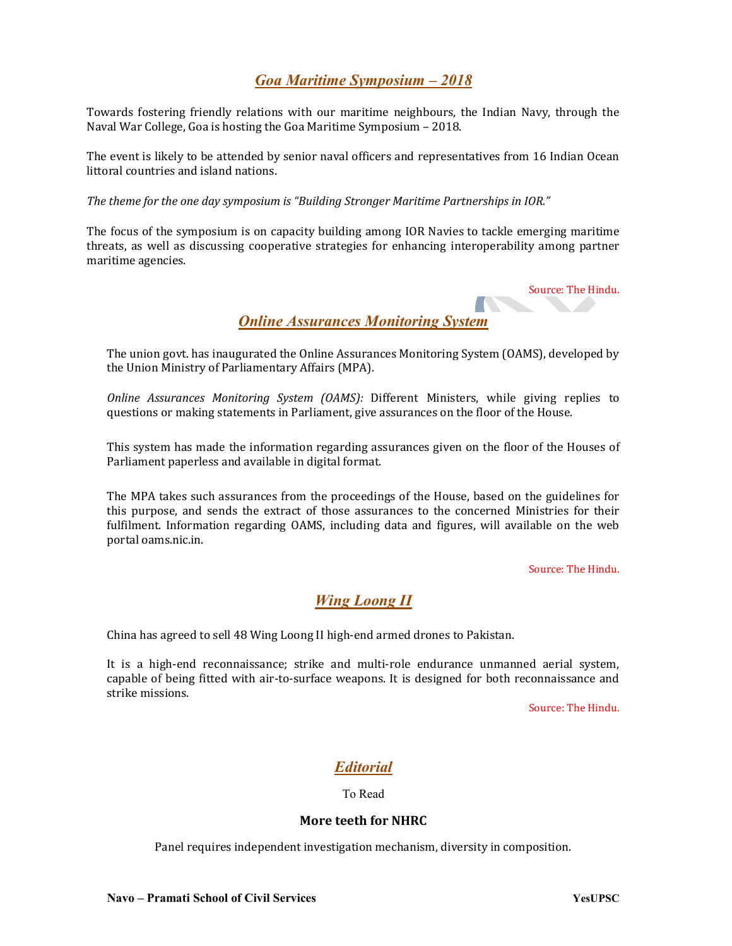## Goa Maritime Symposium – 2018

Towards fostering friendly relations with our maritime neighbours, the Indian Navy, through the Naval War College, Goa is hosting the Goa Maritime Symposium – 2018.

The event is likely to be attended by senior naval officers and representatives from 16 Indian Ocean littoral countries and island nations.

The theme for the one day symposium is "Building Stronger Maritime Partnerships in IOR."

The focus of the symposium is on capacity building among IOR Navies to tackle emerging maritime threats, as well as discussing cooperative strategies for enhancing interoperability among partner maritime agencies.

Source: The Hindu.

Online Assurances Monitoring System

The union govt. has inaugurated the Online Assurances Monitoring System (OAMS), developed by the Union Ministry of Parliamentary Affairs (MPA).

Online Assurances Monitoring System (OAMS): Different Ministers, while giving replies to questions or making statements in Parliament, give assurances on the floor of the House.

This system has made the information regarding assurances given on the floor of the Houses of Parliament paperless and available in digital format.

The MPA takes such assurances from the proceedings of the House, based on the guidelines for this purpose, and sends the extract of those assurances to the concerned Ministries for their fulfilment. Information regarding OAMS, including data and figures, will available on the web portal oams.nic.in.

Source: The Hindu.

### Wing Loong II

China has agreed to sell 48 Wing Loong II high-end armed drones to Pakistan.

It is a high-end reconnaissance; strike and multi-role endurance unmanned aerial system, capable of being fitted with air-to-surface weapons. It is designed for both reconnaissance and strike missions.

Source: The Hindu.

# Editorial

#### To Read

#### More teeth for NHRC

Panel requires independent investigation mechanism, diversity in composition.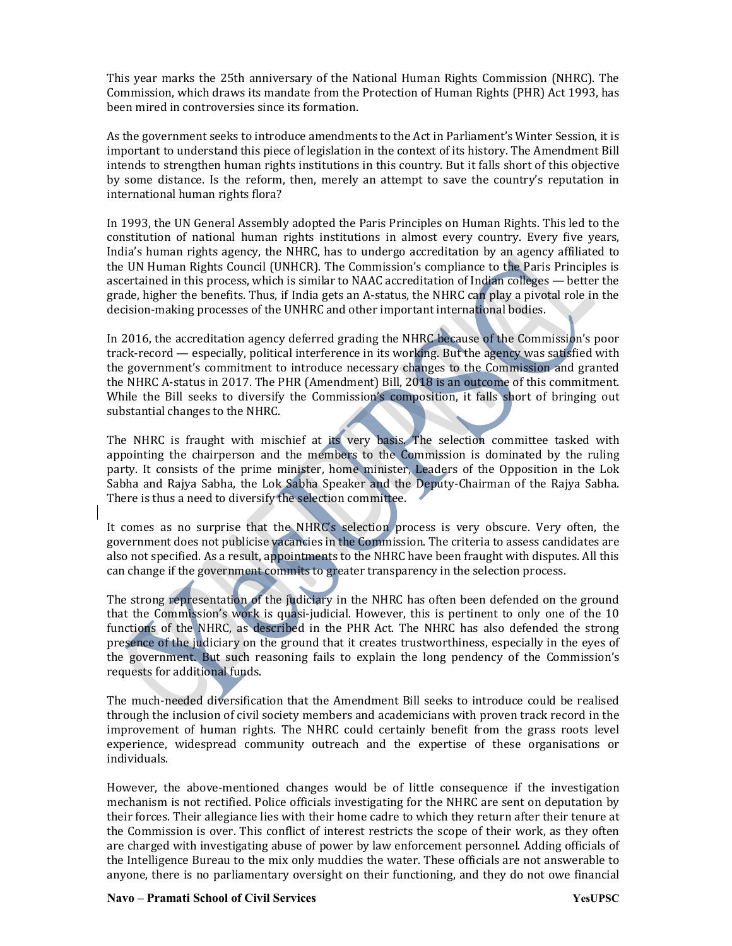This year marks the 25th anniversary of the National Human Rights Commission (NHRC). The Commission, which draws its mandate from the Protection of Human Rights (PHR) Act 1993, has been mired in controversies since its formation.

As the government seeks to introduce amendments to the Act in Parliament's Winter Session, it is important to understand this piece of legislation in the context of its history. The Amendment Bill intends to strengthen human rights institutions in this country. But it falls short of this objective by some distance. Is the reform, then, merely an attempt to save the country's reputation in international human rights flora?

In 1993, the UN General Assembly adopted the Paris Principles on Human Rights. This led to the constitution of national human rights institutions in almost every country. Every five years, India's human rights agency, the NHRC, has to undergo accreditation by an agency affiliated to the UN Human Rights Council (UNHCR). The Commission's compliance to the Paris Principles is ascertained in this process, which is similar to NAAC accreditation of Indian colleges — better the grade, higher the benefits. Thus, if India gets an A-status, the NHRC can play a pivotal role in the decision-making processes of the UNHRC and other important international bodies.

In 2016, the accreditation agency deferred grading the NHRC because of the Commission's poor track-record — especially, political interference in its working. But the agency was satisfied with the government's commitment to introduce necessary changes to the Commission and granted the NHRC A-status in 2017. The PHR (Amendment) Bill, 2018 is an outcome of this commitment. While the Bill seeks to diversify the Commission's composition, it falls short of bringing out substantial changes to the NHRC.

The NHRC is fraught with mischief at its very basis. The selection committee tasked with appointing the chairperson and the members to the Commission is dominated by the ruling party. It consists of the prime minister, home minister, Leaders of the Opposition in the Lok Sabha and Rajya Sabha, the Lok Sabha Speaker and the Deputy-Chairman of the Rajya Sabha. There is thus a need to diversify the selection committee.

It comes as no surprise that the NHRC's selection process is very obscure. Very often, the government does not publicise vacancies in the Commission. The criteria to assess candidates are also not specified. As a result, appointments to the NHRC have been fraught with disputes. All this can change if the government commits to greater transparency in the selection process.

The strong representation of the judiciary in the NHRC has often been defended on the ground that the Commission's work is quasi-judicial. However, this is pertinent to only one of the 10 functions of the NHRC, as described in the PHR Act. The NHRC has also defended the strong presence of the judiciary on the ground that it creates trustworthiness, especially in the eyes of the government. But such reasoning fails to explain the long pendency of the Commission's requests for additional funds.

The much-needed diversification that the Amendment Bill seeks to introduce could be realised through the inclusion of civil society members and academicians with proven track record in the improvement of human rights. The NHRC could certainly benefit from the grass roots level experience, widespread community outreach and the expertise of these organisations or individuals.

However, the above-mentioned changes would be of little consequence if the investigation mechanism is not rectified. Police officials investigating for the NHRC are sent on deputation by their forces. Their allegiance lies with their home cadre to which they return after their tenure at the Commission is over. This conflict of interest restricts the scope of their work, as they often are charged with investigating abuse of power by law enforcement personnel. Adding officials of the Intelligence Bureau to the mix only muddies the water. These officials are not answerable to anyone, there is no parliamentary oversight on their functioning, and they do not owe financial